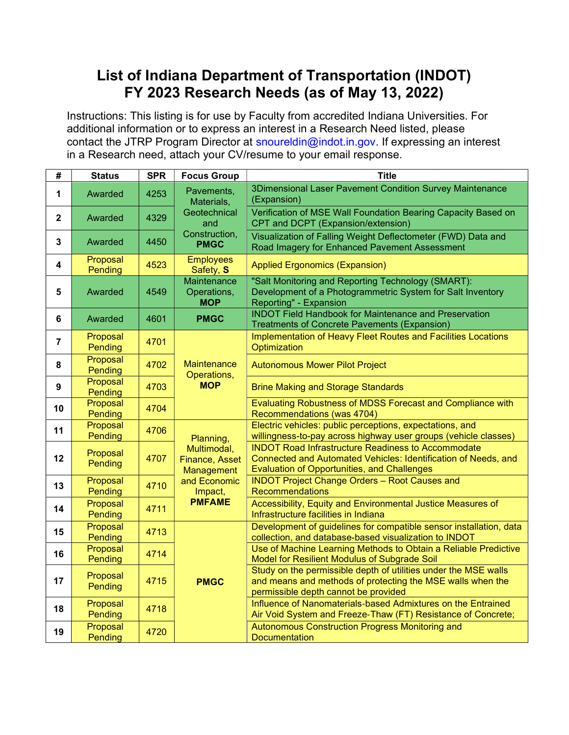## List of Indiana Department of Transportation (INDOT) FY 2023 Research Needs (as of May 13, 2022)

Instructions: This listing is for use by Faculty from accredited Indiana Universities. For additional information or to express an interest in a Research Need listed, please contact the JTRP Program Director at snoureldin@indot.in.gov. If expressing an interest in a Research need, attach your CV/resume to your email response.

| #                       | <b>Status</b>       | <b>SPR</b> | <b>Focus Group</b>                              | <b>Title</b>                                                                                                                                                               |
|-------------------------|---------------------|------------|-------------------------------------------------|----------------------------------------------------------------------------------------------------------------------------------------------------------------------------|
| 1                       | Awarded             | 4253       | Pavements,<br>Materials,<br>Geotechnical<br>and | 3Dimensional Laser Pavement Condition Survey Maintenance<br>(Expansion)                                                                                                    |
| $\overline{\mathbf{2}}$ | Awarded             | 4329       |                                                 | Verification of MSE Wall Foundation Bearing Capacity Based on<br>CPT and DCPT (Expansion/extension)                                                                        |
| $\mathbf{3}$            | Awarded             | 4450       | Construction,<br><b>PMGC</b>                    | Visualization of Falling Weight Deflectometer (FWD) Data and<br>Road Imagery for Enhanced Pavement Assessment                                                              |
| 4                       | Proposal<br>Pending | 4523       | <b>Employees</b><br>Safety, S                   | <b>Applied Ergonomics (Expansion)</b>                                                                                                                                      |
| 5                       | Awarded             | 4549       | Maintenance<br>Operations,<br><b>MOP</b>        | "Salt Monitoring and Reporting Technology (SMART):<br>Development of a Photogrammetric System for Salt Inventory<br>Reporting" - Expansion                                 |
| 6                       | Awarded             | 4601       | <b>PMGC</b>                                     | <b>INDOT Field Handbook for Maintenance and Preservation</b><br><b>Treatments of Concrete Pavements (Expansion)</b>                                                        |
| $\overline{7}$          | Proposal<br>Pending | 4701       |                                                 | Implementation of Heavy Fleet Routes and Facilities Locations<br>Optimization                                                                                              |
| 8                       | Proposal<br>Pending | 4702       | <b>Maintenance</b><br>Operations,               | <b>Autonomous Mower Pilot Project</b>                                                                                                                                      |
| $\boldsymbol{9}$        | Proposal<br>Pending | 4703       | <b>MOP</b>                                      | <b>Brine Making and Storage Standards</b>                                                                                                                                  |
| 10                      | Proposal<br>Pending | 4704       |                                                 | Evaluating Robustness of MDSS Forecast and Compliance with<br>Recommendations (was 4704)                                                                                   |
| 11                      | Proposal<br>Pending | 4706       | Planning,                                       | Electric vehicles: public perceptions, expectations, and<br>willingness-to-pay across highway user groups (vehicle classes)                                                |
| 12                      | Proposal<br>Pending | 4707       | Multimodal,<br>Finance, Asset<br>Management     | <b>INDOT Road Infrastructure Readiness to Accommodate</b><br>Connected and Automated Vehicles: Identification of Needs, and<br>Evaluation of Opportunities, and Challenges |
| 13                      | Proposal<br>Pending | 4710       | and Economic<br>Impact,                         | <b>INDOT Project Change Orders - Root Causes and</b><br><b>Recommendations</b>                                                                                             |
| 14                      | Proposal<br>Pending | 4711       | <b>PMFAME</b>                                   | Accessibility, Equity and Environmental Justice Measures of<br>Infrastructure facilities in Indiana                                                                        |
| 15                      | Proposal<br>Pending | 4713       |                                                 | Development of guidelines for compatible sensor installation, data<br>collection, and database-based visualization to INDOT                                                |
| 16                      | Proposal<br>Pending | 4714       |                                                 | Use of Machine Learning Methods to Obtain a Reliable Predictive<br>Model for Resilient Modulus of Subgrade Soil                                                            |
| 17                      | Proposal<br>Pending | 4715       | <b>PMGC</b>                                     | Study on the permissible depth of utilities under the MSE walls<br>and means and methods of protecting the MSE walls when the<br>permissible depth cannot be provided      |
| 18                      | Proposal<br>Pending | 4718       |                                                 | Influence of Nanomaterials-based Admixtures on the Entrained<br>Air Void System and Freeze-Thaw (FT) Resistance of Concrete;                                               |
| 19                      | Proposal<br>Pending | 4720       |                                                 | Autonomous Construction Progress Monitoring and<br><b>Documentation</b>                                                                                                    |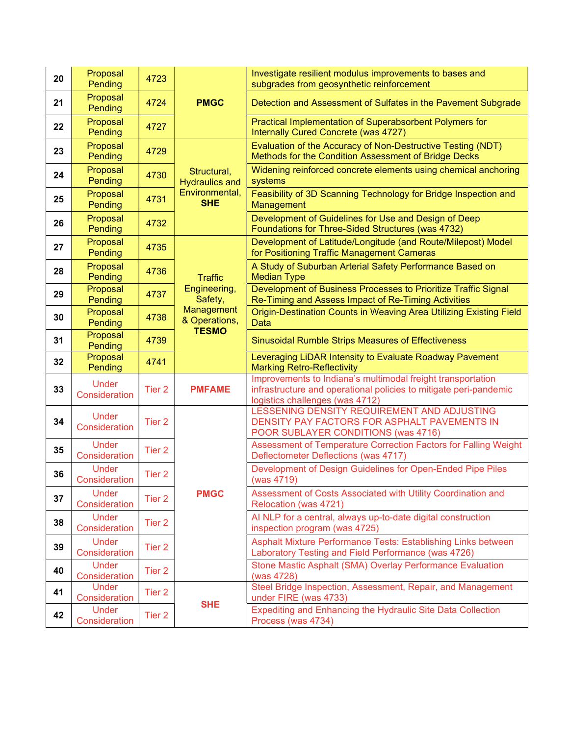| 20 | Proposal<br>Pending           | 4723              | <b>PMGC</b>                                 | Investigate resilient modulus improvements to bases and<br>subgrades from geosynthetic reinforcement                                                                |
|----|-------------------------------|-------------------|---------------------------------------------|---------------------------------------------------------------------------------------------------------------------------------------------------------------------|
| 21 | Proposal<br>Pending           | 4724              |                                             | Detection and Assessment of Sulfates in the Pavement Subgrade                                                                                                       |
| 22 | Proposal<br>Pending           | 4727              |                                             | Practical Implementation of Superabsorbent Polymers for<br>Internally Cured Concrete (was 4727)                                                                     |
| 23 | Proposal<br>Pending           | 4729              |                                             | Evaluation of the Accuracy of Non-Destructive Testing (NDT)<br>Methods for the Condition Assessment of Bridge Decks                                                 |
| 24 | Proposal<br>Pending           | 4730              | Structural,<br><b>Hydraulics and</b>        | Widening reinforced concrete elements using chemical anchoring<br>systems                                                                                           |
| 25 | Proposal<br>Pending           | 4731              | Environmental,<br><b>SHE</b>                | Feasibility of 3D Scanning Technology for Bridge Inspection and<br>Management                                                                                       |
| 26 | Proposal<br>Pending           | 4732              |                                             | Development of Guidelines for Use and Design of Deep<br>Foundations for Three-Sided Structures (was 4732)                                                           |
| 27 | Proposal<br>Pending           | 4735              |                                             | Development of Latitude/Longitude (and Route/Milepost) Model<br>for Positioning Traffic Management Cameras                                                          |
| 28 | Proposal<br>Pending           | 4736              | <b>Traffic</b>                              | A Study of Suburban Arterial Safety Performance Based on<br><b>Median Type</b>                                                                                      |
| 29 | Proposal<br>Pending           | 4737              | Engineering,<br>Safety,                     | Development of Business Processes to Prioritize Traffic Signal<br>Re-Timing and Assess Impact of Re-Timing Activities                                               |
| 30 | Proposal<br>Pending           | 4738              | Management<br>& Operations,<br><b>TESMO</b> | Origin-Destination Counts in Weaving Area Utilizing Existing Field<br><b>Data</b>                                                                                   |
| 31 | Proposal<br>Pending           | 4739              |                                             | Sinusoidal Rumble Strips Measures of Effectiveness                                                                                                                  |
|    | Proposal                      |                   |                                             | Leveraging LiDAR Intensity to Evaluate Roadway Pavement                                                                                                             |
| 32 | Pending                       | 4741              |                                             | <b>Marking Retro-Reflectivity</b>                                                                                                                                   |
| 33 | <b>Under</b><br>Consideration | Tier <sub>2</sub> | <b>PMFAME</b>                               | Improvements to Indiana's multimodal freight transportation<br>infrastructure and operational policies to mitigate peri-pandemic<br>logistics challenges (was 4712) |
| 34 | <b>Under</b><br>Consideration | Tier <sub>2</sub> |                                             | LESSENING DENSITY REQUIREMENT AND ADJUSTING<br>DENSITY PAY FACTORS FOR ASPHALT PAVEMENTS IN<br>POOR SUBLAYER CONDITIONS (was 4716)                                  |
| 35 | <b>Under</b><br>Consideration | Tier <sub>2</sub> |                                             | Assessment of Temperature Correction Factors for Falling Weight<br>Deflectometer Deflections (was 4717)                                                             |
| 36 | <b>Under</b><br>Consideration | Tier <sub>2</sub> |                                             | Development of Design Guidelines for Open-Ended Pipe Piles<br>(was 4719)                                                                                            |
| 37 | <b>Under</b><br>Consideration | Tier 2            | <b>PMGC</b>                                 | Assessment of Costs Associated with Utility Coordination and<br>Relocation (was 4721)                                                                               |
| 38 | <b>Under</b><br>Consideration | Tier 2            |                                             | Al NLP for a central, always up-to-date digital construction<br>inspection program (was 4725)                                                                       |
| 39 | <b>Under</b><br>Consideration | Tier 2            |                                             | Asphalt Mixture Performance Tests: Establishing Links between<br>Laboratory Testing and Field Performance (was 4726)                                                |
| 40 | <b>Under</b><br>Consideration | Tier 2            |                                             | Stone Mastic Asphalt (SMA) Overlay Performance Evaluation<br>(was 4728)                                                                                             |
| 41 | Under<br>Consideration        | Tier 2            | <b>SHE</b>                                  | Steel Bridge Inspection, Assessment, Repair, and Management<br>under FIRE (was 4733)                                                                                |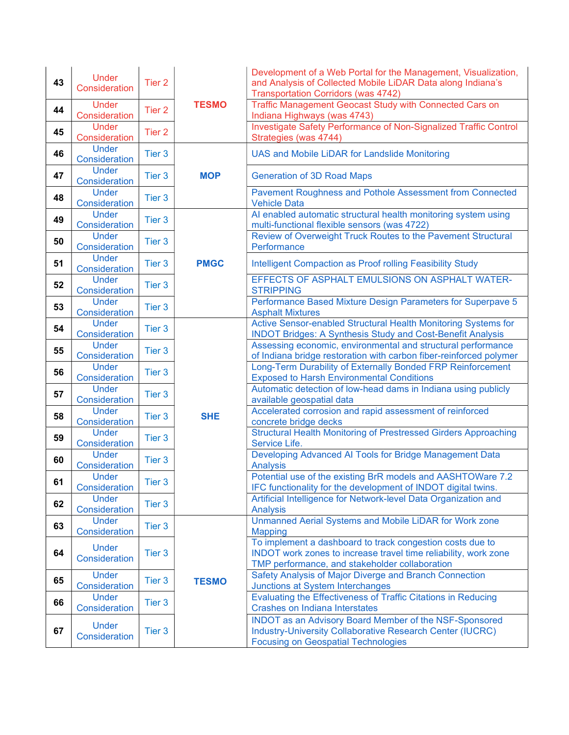| 43 | <b>Under</b><br>Consideration | Tier <sub>2</sub> |              | Development of a Web Portal for the Management, Visualization,<br>and Analysis of Collected Mobile LiDAR Data along Indiana's<br><b>Transportation Corridors (was 4742)</b>    |
|----|-------------------------------|-------------------|--------------|--------------------------------------------------------------------------------------------------------------------------------------------------------------------------------|
| 44 | <b>Under</b><br>Consideration | Tier 2            | <b>TESMO</b> | Traffic Management Geocast Study with Connected Cars on<br>Indiana Highways (was 4743)                                                                                         |
| 45 | <b>Under</b><br>Consideration | Tier <sub>2</sub> |              | Investigate Safety Performance of Non-Signalized Traffic Control<br>Strategies (was 4744)                                                                                      |
| 46 | <b>Under</b><br>Consideration | Tier 3            |              | <b>UAS and Mobile LiDAR for Landslide Monitoring</b>                                                                                                                           |
| 47 | <b>Under</b><br>Consideration | Tier 3            | <b>MOP</b>   | <b>Generation of 3D Road Maps</b>                                                                                                                                              |
| 48 | <b>Under</b><br>Consideration | Tier 3            |              | Pavement Roughness and Pothole Assessment from Connected<br><b>Vehicle Data</b>                                                                                                |
| 49 | <b>Under</b><br>Consideration | Tier 3            |              | Al enabled automatic structural health monitoring system using<br>multi-functional flexible sensors (was 4722)                                                                 |
| 50 | <b>Under</b><br>Consideration | Tier 3            |              | Review of Overweight Truck Routes to the Pavement Structural<br>Performance                                                                                                    |
| 51 | <b>Under</b><br>Consideration | Tier 3            | <b>PMGC</b>  | Intelligent Compaction as Proof rolling Feasibility Study                                                                                                                      |
| 52 | <b>Under</b><br>Consideration | Tier 3            |              | EFFECTS OF ASPHALT EMULSIONS ON ASPHALT WATER-<br><b>STRIPPING</b>                                                                                                             |
| 53 | <b>Under</b><br>Consideration | Tier 3            |              | Performance Based Mixture Design Parameters for Superpave 5<br><b>Asphalt Mixtures</b>                                                                                         |
| 54 | <b>Under</b><br>Consideration | Tier 3            |              | Active Sensor-enabled Structural Health Monitoring Systems for<br><b>INDOT Bridges: A Synthesis Study and Cost-Benefit Analysis</b>                                            |
| 55 | Under<br>Consideration        | Tier 3            |              | Assessing economic, environmental and structural performance<br>of Indiana bridge restoration with carbon fiber-reinforced polymer                                             |
| 56 | <b>Under</b><br>Consideration | Tier 3            |              | Long-Term Durability of Externally Bonded FRP Reinforcement<br><b>Exposed to Harsh Environmental Conditions</b>                                                                |
| 57 | <b>Under</b><br>Consideration | Tier 3            |              | Automatic detection of low-head dams in Indiana using publicly<br>available geospatial data                                                                                    |
| 58 | <b>Under</b><br>Consideration | Tier 3            | <b>SHE</b>   | Accelerated corrosion and rapid assessment of reinforced<br>concrete bridge decks                                                                                              |
| 59 | <b>Under</b><br>Consideration | Tier 3            |              | <b>Structural Health Monitoring of Prestressed Girders Approaching</b><br>Service Life.                                                                                        |
| 60 | <b>Under</b><br>Consideration | Tier 3            |              | Developing Advanced AI Tools for Bridge Management Data<br>Analysis                                                                                                            |
| 61 | Under<br>Consideration        | Tier 3            |              | Potential use of the existing BrR models and AASHTOWare 7.2<br>IFC functionality for the development of INDOT digital twins.                                                   |
| 62 | <b>Under</b><br>Consideration | Tier 3            |              | Artificial Intelligence for Network-level Data Organization and<br><b>Analysis</b>                                                                                             |
| 63 | <b>Under</b><br>Consideration | Tier 3            |              | Unmanned Aerial Systems and Mobile LiDAR for Work zone<br><b>Mapping</b>                                                                                                       |
| 64 | <b>Under</b><br>Consideration | Tier 3            |              | To implement a dashboard to track congestion costs due to<br>INDOT work zones to increase travel time reliability, work zone<br>TMP performance, and stakeholder collaboration |
| 65 | <b>Under</b><br>Consideration | Tier 3            | <b>TESMO</b> | Safety Analysis of Major Diverge and Branch Connection<br>Junctions at System Interchanges                                                                                     |
| 66 | <b>Under</b><br>Consideration | Tier 3            |              | Evaluating the Effectiveness of Traffic Citations in Reducing<br><b>Crashes on Indiana Interstates</b>                                                                         |
| 67 | <b>Under</b><br>Consideration | Tier 3            |              | INDOT as an Advisory Board Member of the NSF-Sponsored<br>Industry-University Collaborative Research Center (IUCRC)<br><b>Focusing on Geospatial Technologies</b>              |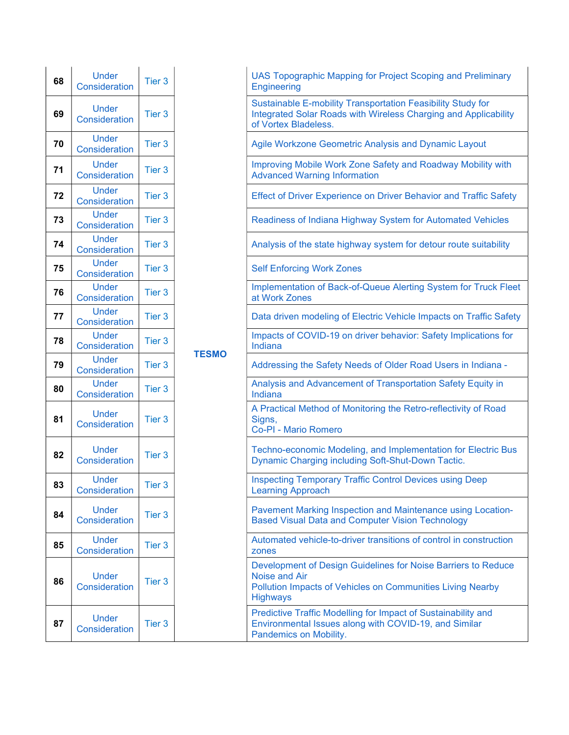| 68 | <b>Under</b><br><b>Consideration</b> | Tier <sub>3</sub> |            |
|----|--------------------------------------|-------------------|------------|
| 69 | <b>Under</b><br>Consideration        | Tier <sub>3</sub> |            |
| 70 | <b>Under</b><br><b>Consideration</b> | Tier 3            |            |
| 71 | <b>Under</b><br>Consideration        | Tier <sub>3</sub> |            |
| 72 | Under<br><b>Consideration</b>        | Tier 3            |            |
| 73 | <b>Under</b><br><b>Consideration</b> | Tier 3            |            |
| 74 | <b>Under</b><br><b>Consideration</b> | Tier 3            |            |
| 75 | Under<br><b>Consideration</b>        | Tier <sub>3</sub> |            |
| 76 | Under<br><b>Consideration</b>        | Tier 3            |            |
| 77 | Under<br><b>Consideration</b>        | Tier <sub>3</sub> |            |
| 78 | <b>Under</b><br><b>Consideration</b> | Tier 3            | <b>TES</b> |
| 79 | <b>Under</b><br><b>Consideration</b> | Tier 3            |            |
| 80 | Under<br><b>Consideration</b>        | Tier 3            |            |
| 81 | <b>Under</b><br><b>Consideration</b> | Tier <sub>3</sub> |            |
| 82 | <b>Under</b><br><b>Consideration</b> |                   |            |
| 83 | <b>Under</b><br><b>Consideration</b> | Tier 3            |            |
| 84 | <b>Under</b><br>Consideration        | Tier <sub>3</sub> |            |
| 85 | Under<br>Consideration               | Tier <sub>3</sub> |            |
| 86 | <b>Under</b><br>Consideration        | Tier <sub>3</sub> |            |
| 87 | Under<br><b>Consideration</b>        | Tier 3            |            |

| <b>Under</b><br><b>Consideration</b> | Tier 3            |              | <b>UAS Topographic Mapping for Project Scoping and Preliminary</b><br><b>Engineering</b>                                                                        |
|--------------------------------------|-------------------|--------------|-----------------------------------------------------------------------------------------------------------------------------------------------------------------|
| <b>Under</b><br><b>Consideration</b> | Tier 3            |              | Sustainable E-mobility Transportation Feasibility Study for<br>Integrated Solar Roads with Wireless Charging and Applicability<br>of Vortex Bladeless.          |
| <b>Under</b><br><b>Consideration</b> | Tier 3            |              | Agile Workzone Geometric Analysis and Dynamic Layout                                                                                                            |
| <b>Under</b><br><b>Consideration</b> | Tier 3            |              | Improving Mobile Work Zone Safety and Roadway Mobility with<br><b>Advanced Warning Information</b>                                                              |
| <b>Under</b><br><b>Consideration</b> | Tier 3            |              | <b>Effect of Driver Experience on Driver Behavior and Traffic Safety</b>                                                                                        |
| <b>Under</b><br><b>Consideration</b> | Tier 3            |              | Readiness of Indiana Highway System for Automated Vehicles                                                                                                      |
| <b>Under</b><br><b>Consideration</b> | Tier 3            |              | Analysis of the state highway system for detour route suitability                                                                                               |
| <b>Under</b><br><b>Consideration</b> | Tier 3            |              | <b>Self Enforcing Work Zones</b>                                                                                                                                |
| <b>Under</b><br><b>Consideration</b> | Tier 3            |              | Implementation of Back-of-Queue Alerting System for Truck Fleet<br>at Work Zones                                                                                |
| <b>Under</b><br><b>Consideration</b> | Tier 3            |              | Data driven modeling of Electric Vehicle Impacts on Traffic Safety                                                                                              |
| <b>Under</b><br><b>Consideration</b> | Tier 3            |              | Impacts of COVID-19 on driver behavior: Safety Implications for<br>Indiana                                                                                      |
| <b>Under</b><br><b>Consideration</b> | Tier 3            | <b>TESMO</b> | Addressing the Safety Needs of Older Road Users in Indiana -                                                                                                    |
| <b>Under</b><br><b>Consideration</b> | Tier 3            |              | Analysis and Advancement of Transportation Safety Equity in<br>Indiana                                                                                          |
| <b>Under</b><br><b>Consideration</b> | Tier 3            |              | A Practical Method of Monitoring the Retro-reflectivity of Road<br>Signs,<br>Co-PI - Mario Romero                                                               |
| <b>Under</b><br><b>Consideration</b> | Tier <sub>3</sub> |              | Techno-economic Modeling, and Implementation for Electric Bus<br>Dynamic Charging including Soft-Shut-Down Tactic.                                              |
| <b>Under</b><br><b>Consideration</b> | Tier <sub>3</sub> |              | <b>Inspecting Temporary Traffic Control Devices using Deep</b><br><b>Learning Approach</b>                                                                      |
| <b>Under</b><br><b>Consideration</b> | Tier <sub>3</sub> |              | Pavement Marking Inspection and Maintenance using Location-<br><b>Based Visual Data and Computer Vision Technology</b>                                          |
| <b>Under</b><br><b>Consideration</b> | Tier 3            |              | Automated vehicle-to-driver transitions of control in construction<br>zones                                                                                     |
| <b>Under</b><br><b>Consideration</b> | Tier 3            |              | Development of Design Guidelines for Noise Barriers to Reduce<br>Noise and Air<br>Pollution Impacts of Vehicles on Communities Living Nearby<br><b>Highways</b> |
| <b>Under</b><br><b>Consideration</b> | Tier 3            |              | Predictive Traffic Modelling for Impact of Sustainability and<br>Environmental Issues along with COVID-19, and Similar<br>Pandemics on Mobility.                |
|                                      |                   |              |                                                                                                                                                                 |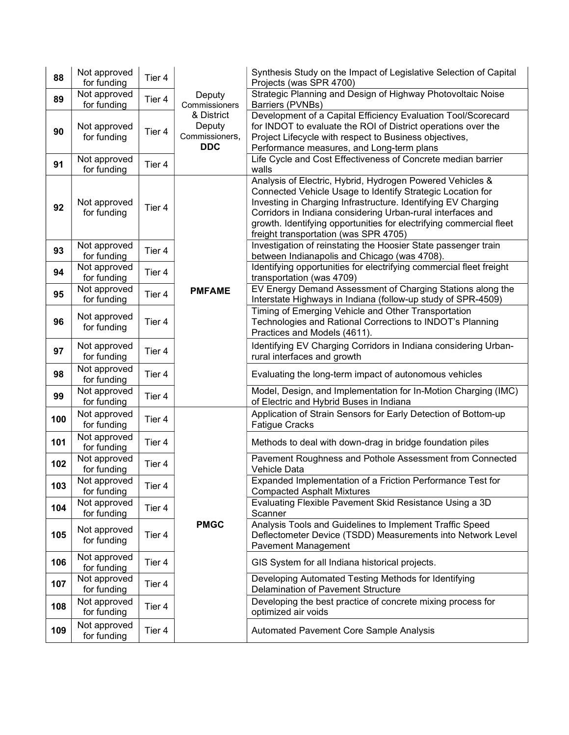| 88  | Not approved<br>for funding | Tier 4 |                                                                                 | Synthesis Study on the Impact of Legislative Selection of Capital<br>Projects (was SPR 4700)                                                                                                                                                                                                                                                                            |
|-----|-----------------------------|--------|---------------------------------------------------------------------------------|-------------------------------------------------------------------------------------------------------------------------------------------------------------------------------------------------------------------------------------------------------------------------------------------------------------------------------------------------------------------------|
| 89  | Not approved<br>for funding | Tier 4 | Deputy<br>Commissioners<br>& District<br>Deputy<br>Commissioners,<br><b>DDC</b> | Strategic Planning and Design of Highway Photovoltaic Noise<br>Barriers (PVNBs)                                                                                                                                                                                                                                                                                         |
| 90  | Not approved<br>for funding | Tier 4 |                                                                                 | Development of a Capital Efficiency Evaluation Tool/Scorecard<br>for INDOT to evaluate the ROI of District operations over the<br>Project Lifecycle with respect to Business objectives,<br>Performance measures, and Long-term plans                                                                                                                                   |
| 91  | Not approved<br>for funding | Tier 4 |                                                                                 | Life Cycle and Cost Effectiveness of Concrete median barrier<br>walls                                                                                                                                                                                                                                                                                                   |
| 92  | Not approved<br>for funding | Tier 4 |                                                                                 | Analysis of Electric, Hybrid, Hydrogen Powered Vehicles &<br>Connected Vehicle Usage to Identify Strategic Location for<br>Investing in Charging Infrastructure. Identifying EV Charging<br>Corridors in Indiana considering Urban-rural interfaces and<br>growth. Identifying opportunities for electrifying commercial fleet<br>freight transportation (was SPR 4705) |
| 93  | Not approved<br>for funding | Tier 4 |                                                                                 | Investigation of reinstating the Hoosier State passenger train<br>between Indianapolis and Chicago (was 4708).                                                                                                                                                                                                                                                          |
| 94  | Not approved<br>for funding | Tier 4 |                                                                                 | Identifying opportunities for electrifying commercial fleet freight<br>transportation (was 4709)                                                                                                                                                                                                                                                                        |
| 95  | Not approved<br>for funding | Tier 4 | <b>PMFAME</b>                                                                   | EV Energy Demand Assessment of Charging Stations along the<br>Interstate Highways in Indiana (follow-up study of SPR-4509)                                                                                                                                                                                                                                              |
| 96  | Not approved<br>for funding | Tier 4 |                                                                                 | Timing of Emerging Vehicle and Other Transportation<br>Technologies and Rational Corrections to INDOT's Planning<br>Practices and Models (4611).                                                                                                                                                                                                                        |
| 97  | Not approved<br>for funding | Tier 4 |                                                                                 | Identifying EV Charging Corridors in Indiana considering Urban-<br>rural interfaces and growth                                                                                                                                                                                                                                                                          |
| 98  | Not approved<br>for funding | Tier 4 |                                                                                 | Evaluating the long-term impact of autonomous vehicles                                                                                                                                                                                                                                                                                                                  |
| 99  | Not approved<br>for funding | Tier 4 |                                                                                 | Model, Design, and Implementation for In-Motion Charging (IMC)<br>of Electric and Hybrid Buses in Indiana                                                                                                                                                                                                                                                               |
| 100 | Not approved<br>for funding | Tier 4 |                                                                                 | Application of Strain Sensors for Early Detection of Bottom-up<br><b>Fatigue Cracks</b>                                                                                                                                                                                                                                                                                 |
| 101 | Not approved<br>for funding | Tier 4 |                                                                                 | Methods to deal with down-drag in bridge foundation piles                                                                                                                                                                                                                                                                                                               |
| 102 | Not approved<br>for funding | Tier 4 |                                                                                 | Pavement Roughness and Pothole Assessment from Connected<br>Vehicle Data                                                                                                                                                                                                                                                                                                |
| 103 | Not approved<br>for funding | Tier 4 |                                                                                 | Expanded Implementation of a Friction Performance Test for<br><b>Compacted Asphalt Mixtures</b>                                                                                                                                                                                                                                                                         |
| 104 | Not approved<br>for funding | Tier 4 |                                                                                 | Evaluating Flexible Pavement Skid Resistance Using a 3D<br>Scanner                                                                                                                                                                                                                                                                                                      |
| 105 | Not approved<br>for funding | Tier 4 | <b>PMGC</b>                                                                     | Analysis Tools and Guidelines to Implement Traffic Speed<br>Deflectometer Device (TSDD) Measurements into Network Level<br><b>Pavement Management</b>                                                                                                                                                                                                                   |
| 106 | Not approved<br>for funding | Tier 4 |                                                                                 | GIS System for all Indiana historical projects.                                                                                                                                                                                                                                                                                                                         |
| 107 | Not approved<br>for funding | Tier 4 |                                                                                 | Developing Automated Testing Methods for Identifying<br>Delamination of Pavement Structure                                                                                                                                                                                                                                                                              |
| 108 | Not approved<br>for funding | Tier 4 |                                                                                 | Developing the best practice of concrete mixing process for<br>optimized air voids                                                                                                                                                                                                                                                                                      |
| 109 | Not approved<br>for funding | Tier 4 |                                                                                 | Automated Pavement Core Sample Analysis                                                                                                                                                                                                                                                                                                                                 |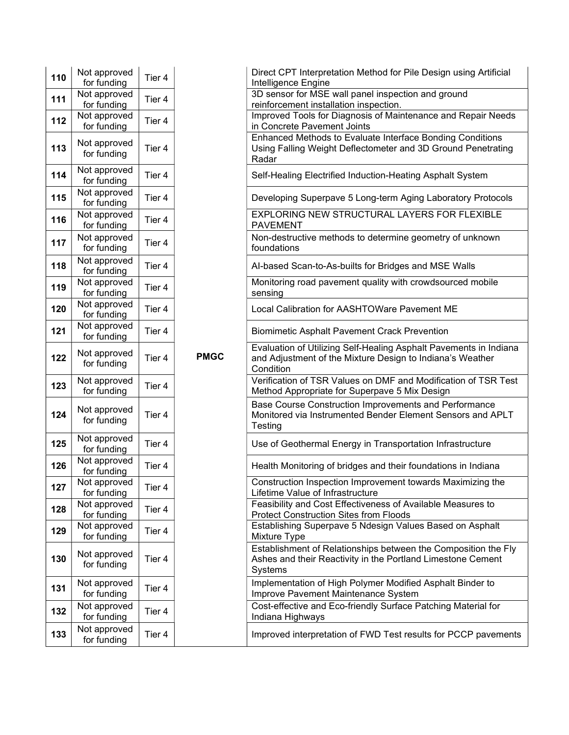| 110 | Not approved<br>for funding | Tier 4 |
|-----|-----------------------------|--------|
| 111 | Not approved<br>for funding | Tier 4 |
| 112 | Not approved<br>for funding | Tier 4 |
| 113 | Not approved<br>for funding | Tier 4 |
| 114 | Not approved<br>for funding | Tier 4 |
| 115 | Not approved<br>for funding | Tier 4 |
| 116 | Not approved<br>for funding | Tier 4 |
| 117 | Not approved<br>for funding | Tier 4 |
| 118 | Not approved<br>for funding | Tier 4 |
| 119 | Not approved<br>for funding | Tier 4 |
| 120 | Not approved<br>for funding | Tier 4 |
| 121 | Not approved<br>for funding | Tier 4 |
| 122 | Not approved<br>for funding | Tier 4 |
| 123 | Not approved<br>for funding | Tier 4 |
| 124 | Not approved<br>for funding | Tier 4 |
| 125 | Not approved<br>for funding | Tier 4 |
| 126 | Not approved<br>for funding | Tier 4 |
| 127 | Not approved<br>for funding | Tier 4 |
| 128 | Not approved<br>for funding | Tier 4 |
| 129 | Not approved<br>for funding | Tier 4 |
| 130 | Not approved<br>for funding | Tier 4 |
| 131 | Not approved<br>for funding | Tier 4 |
| 132 | Not approved<br>for funding | Tier 4 |
| 133 | Not approved<br>for funding | Tier 4 |

| ot approved<br>for funding | Tier 4 |             | Direct CPT Interpretation Method for Pile Design using Artificial<br>Intelligence Engine                                                    |
|----------------------------|--------|-------------|---------------------------------------------------------------------------------------------------------------------------------------------|
| ot approved<br>for funding | Tier 4 |             | 3D sensor for MSE wall panel inspection and ground<br>reinforcement installation inspection.                                                |
| ot approved<br>for funding | Tier 4 |             | Improved Tools for Diagnosis of Maintenance and Repair Needs<br>in Concrete Pavement Joints                                                 |
| ot approved<br>for funding | Tier 4 |             | Enhanced Methods to Evaluate Interface Bonding Conditions<br>Using Falling Weight Deflectometer and 3D Ground Penetrating<br>Radar          |
| ot approved<br>for funding | Tier 4 |             | Self-Healing Electrified Induction-Heating Asphalt System                                                                                   |
| ot approved<br>for funding | Tier 4 |             | Developing Superpave 5 Long-term Aging Laboratory Protocols                                                                                 |
| ot approved<br>for funding | Tier 4 |             | EXPLORING NEW STRUCTURAL LAYERS FOR FLEXIBLE<br><b>PAVEMENT</b>                                                                             |
| ot approved<br>for funding | Tier 4 |             | Non-destructive methods to determine geometry of unknown<br>foundations                                                                     |
| ot approved<br>for funding | Tier 4 |             | Al-based Scan-to-As-builts for Bridges and MSE Walls                                                                                        |
| ot approved<br>for funding | Tier 4 |             | Monitoring road pavement quality with crowdsourced mobile<br>sensing                                                                        |
| ot approved<br>for funding | Tier 4 |             | Local Calibration for AASHTOWare Pavement ME                                                                                                |
| ot approved<br>for funding | Tier 4 |             | <b>Biomimetic Asphalt Pavement Crack Prevention</b>                                                                                         |
| ot approved<br>for funding | Tier 4 | <b>PMGC</b> | Evaluation of Utilizing Self-Healing Asphalt Pavements in Indiana<br>and Adjustment of the Mixture Design to Indiana's Weather<br>Condition |
| ot approved<br>for funding | Tier 4 |             | Verification of TSR Values on DMF and Modification of TSR Test<br>Method Appropriate for Superpave 5 Mix Design                             |
| ot approved<br>for funding | Tier 4 |             | Base Course Construction Improvements and Performance<br>Monitored via Instrumented Bender Element Sensors and APLT<br>Testing              |
| ot approved<br>for funding | Tier 4 |             | Use of Geothermal Energy in Transportation Infrastructure                                                                                   |
| ot approved<br>for funding | Tier 4 |             | Health Monitoring of bridges and their foundations in Indiana                                                                               |
| ot approved<br>for funding | Tier 4 |             | Construction Inspection Improvement towards Maximizing the<br>Lifetime Value of Infrastructure                                              |
| ot approved<br>for funding | Tier 4 |             | Feasibility and Cost Effectiveness of Available Measures to<br><b>Protect Construction Sites from Floods</b>                                |
| ot approved<br>for funding | Tier 4 |             | Establishing Superpave 5 Ndesign Values Based on Asphalt<br>Mixture Type                                                                    |
| ot approved<br>for funding | Tier 4 |             | Establishment of Relationships between the Composition the Fly<br>Ashes and their Reactivity in the Portland Limestone Cement<br>Systems    |
| ot approved<br>for funding | Tier 4 |             | Implementation of High Polymer Modified Asphalt Binder to<br>Improve Pavement Maintenance System                                            |
| ot approved<br>for funding | Tier 4 |             | Cost-effective and Eco-friendly Surface Patching Material for<br>Indiana Highways                                                           |
| ot approved<br>for funding | Tier 4 |             | Improved interpretation of FWD Test results for PCCP pavements                                                                              |